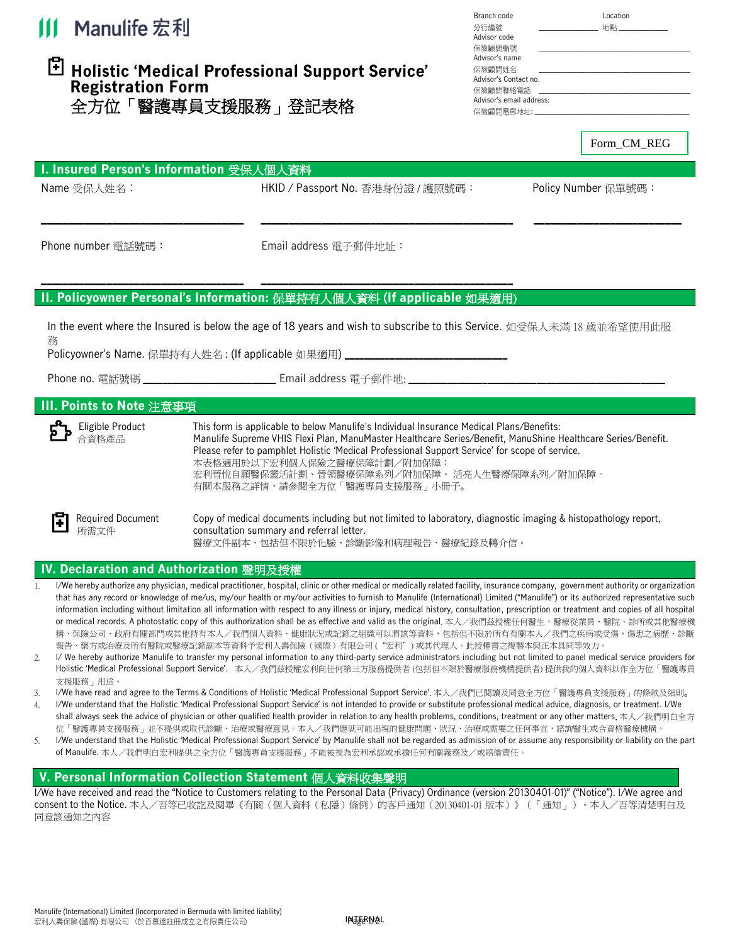

# **Holistic 'Medical Professional Support Service' Registration Form**  全方位「醫護專員支援服務」登記表格

| Branch code              | Location |
|--------------------------|----------|
| 分行編號                     | 地點       |
|                          |          |
| Advisor code             |          |
| 保險顧問編號                   |          |
| Advisor's name           |          |
| 保險顧問姓名                   |          |
| Advisor's Contact no     |          |
| 保險顧問聯絡電話                 |          |
| Advisor's email address: |          |
| 保險顧問電郵地址:                |          |
|                          |          |

Form\_CM\_REG

| <b>I. Insured Person's Information 受保人個人資料</b> |                                   |                     |
|------------------------------------------------|-----------------------------------|---------------------|
| Name 受保人姓名:                                    | HKID / Passport No. 香港身份證 / 護照號碼: | Policy Number 保單號碼: |

**\_\_\_\_\_\_\_\_\_\_\_\_\_\_\_\_\_\_\_\_\_\_\_\_\_\_\_\_\_\_\_\_\_\_\_\_\_ \_\_\_\_\_\_\_\_\_\_\_\_\_\_\_\_\_\_\_\_\_\_\_\_\_\_\_\_\_\_\_\_\_\_\_\_\_\_\_\_\_\_\_\_\_\_ \_\_\_\_\_\_\_\_\_\_\_\_\_\_\_\_\_\_\_\_\_\_\_\_\_\_\_**

Phone number 電話號碼: <br> **Email address 電子郵件地址:** 

# **\_\_\_\_\_\_\_\_\_\_\_\_\_\_\_\_\_\_\_\_\_\_\_\_\_\_\_\_\_\_\_\_\_\_\_\_\_ \_\_\_\_\_\_\_\_\_\_\_\_\_\_\_\_\_\_\_\_\_\_\_\_\_\_\_\_\_\_\_\_\_\_\_\_\_\_\_\_\_\_\_\_\_\_ II. Policyowner Personal's Information:** 保單持有人個人資料 **(If applicable** 如果適用)

In the event where the Insured is below the age of 18 years and wish to subscribe to this Service. 如受保人未滿 18 歲並希望使用此服 務

Policyowner's Name. 保單持有人姓名 : (If applicable 如果適用) **\_\_\_\_\_\_\_\_\_\_\_\_\_\_\_\_\_\_\_\_\_\_\_\_\_\_\_\_\_\_\_\_\_**

Phone no. 電話號碼 **\_\_\_\_\_\_\_\_\_\_\_\_\_\_\_\_\_\_\_\_\_\_\_\_\_\_\_** Email address 電子郵件地: **\_\_\_\_\_\_\_\_\_\_\_\_\_\_\_\_\_\_\_\_\_\_\_\_\_\_\_\_\_\_\_\_\_\_\_\_\_\_\_\_\_\_\_\_\_\_\_\_\_\_\_\_**

# **III. Points to Note** 注意事項

| Eligible Product<br>٥ ٥ م م م                                                                                              | This form is applicable to below Manulife's Individual Insurance Medical Plans/Benefits:<br>Manulife Supreme VHIS Flexi Plan, ManuMaster Healthcare Series/Benefit, ManuShine Healthcare Series/Benefit.<br>Please refer to pamphlet Holistic 'Medical Professional Support Service' for scope of service.<br>本表格適用於以下宏利個人保險之醫療保障計劃/附加保障:<br>宏利晉悅自願醫保靈活計劃、晉領醫療保障系列/附加保障、 活亮人生醫療保障系列/附加保障。<br>有關本服務之詳情,請參閱全方位「醫護專員支援服務」小冊子。 |
|----------------------------------------------------------------------------------------------------------------------------|----------------------------------------------------------------------------------------------------------------------------------------------------------------------------------------------------------------------------------------------------------------------------------------------------------------------------------------------------------------------------------------------------------------------------|
| <b>Required Document</b><br><b>T</b> Required D<br>$\mathbb{F}_{\hat{H} \stackrel{\text{def}}{\scriptstyle \sim} \hat{H}}$ | Copy of medical documents including but not limited to laboratory, diagnostic imaging & histopathology report,<br>consultation summary and referral letter.<br>醫療文件副本、包括但不限於化驗、診斷影像和病理報告、醫療紀錄及轉介信。                                                                                                                                                                                                                         |

### **IV. Declaration and Authorization** 聲明及授權

- 1. I/We hereby authorize any physician, medical practitioner, hospital, clinic or other medical or medically related facility, insurance company, government authority or organization that has any record or knowledge of me/us, my/our health or my/our activities to furnish to Manulife (International) Limited ("Manulife") or its authorized representative such information including without limitation all information with respect to any illness or injury, medical history, consultation, prescription or treatment and copies of all hospital or medical records. A photostatic copy of this authorization shall be as effective and valid as the original. 本人/我們茲授權任何醫生、醫療從業員、醫院、診所或其他醫療機 構、保險公司、政府有關部門或其他持有本人/我們個人資料、健康狀況或記錄之組織可以將該等資料,包括但不限於所有有關本人/我們之疾病或受傷,傷患之病歷、診斷 報告、藥方或治療及所有醫院或醫療記錄副本等資料予宏利人壽保險(國際)有限公司 ("宏利") 或其代理人。此授權書之複製本與正本具同等效力。
- 2. I/ We hereby authorize Manulife to transfer my personal information to any third-party service administrators including but not limited to panel medical service providers for Holistic 'Medical Professional Support Service'. 本人/我們茲授權宏利向任何第三方服務提供者 (包括但不限於醫療服務機構提供者) 提供我的個人資料以作全方位「醫護專員 支援服務」用途。
- 3. I/We have read and agree to the Terms & Conditions of Holistic 'Medical Professional Support Service'. 本人/我們已閱讀及同意全方位「醫護專員支援服務」的條款及細則。
- 4. I/We understand that the Holistic 'Medical Professional Support Service' is not intended to provide or substitute professional medical advice, diagnosis, or treatment. I/We shall always seek the advice of physician or other qualified health provider in relation to any health problems, conditions, treatment or any other matters. 本人/我們明白全方 位「醫護專員支援服務」並不提供或取代診斷、治療或醫療意見。本人/我們應就可能出現的健康問題、狀況、治療或需要之任何事宜,諮詢醫生或合資格醫療機構。
- 5. I/We understand that the Holistic 'Medical Professional Support Service' by Manulife shall not be regarded as admission of or assume any responsibility or liability on the part of Manulife. 本人/我們明白宏利提供之全方位「醫護專員支援服務」不能被視為宏利承認或承擔任何有關義務及/或賠償責任。

# **V. Personal Information Collection Statement** 個人資料收集聲明

I/We have received and read the "Notice to Customers relating to the Personal Data (Privacy) Ordinance (version 20130401-01)" ("Notice"). I/We agree and consent to the Notice. 本人/吾等已收訖及閱畢《有關〈個人資料(私隱)條例〉的客戶通知(20130401-01 版本)》(「通知」)。本人/吾等清楚明白及 同意該通知之內容